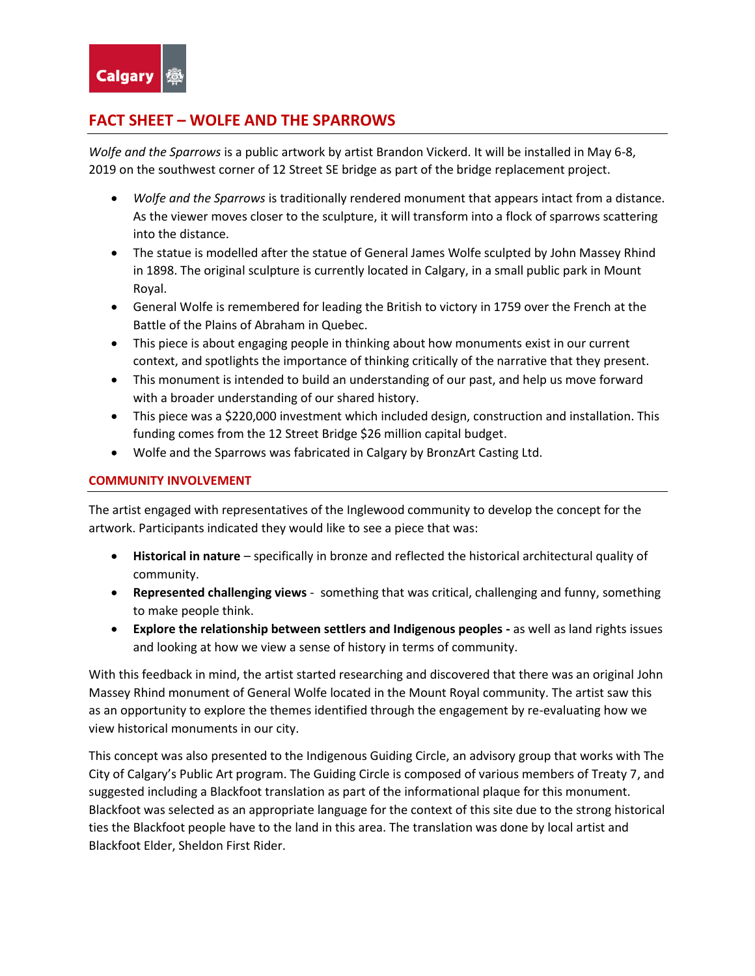

## **FACT SHEET – WOLFE AND THE SPARROWS**

*Wolfe and the Sparrows* is a public artwork by artist Brandon Vickerd. It will be installed in May 6-8, 2019 on the southwest corner of 12 Street SE bridge as part of the bridge replacement project.

- *Wolfe and the Sparrows* is traditionally rendered monument that appears intact from a distance. As the viewer moves closer to the sculpture, it will transform into a flock of sparrows scattering into the distance.
- The statue is modelled after the statue of General James Wolfe sculpted by John Massey Rhind in 1898. The original sculpture is currently located in Calgary, in a small public park in Mount Royal.
- General Wolfe is remembered for leading the British to victory in 1759 over the French at the Battle of the Plains of Abraham in Quebec.
- This piece is about engaging people in thinking about how monuments exist in our current context, and spotlights the importance of thinking critically of the narrative that they present.
- This monument is intended to build an understanding of our past, and help us move forward with a broader understanding of our shared history.
- This piece was a \$220,000 investment which included design, construction and installation. This funding comes from the 12 Street Bridge \$26 million capital budget.
- Wolfe and the Sparrows was fabricated in Calgary by BronzArt Casting Ltd.

## **COMMUNITY INVOLVEMENT**

The artist engaged with representatives of the Inglewood community to develop the concept for the artwork. Participants indicated they would like to see a piece that was:

- **Historical in nature** specifically in bronze and reflected the historical architectural quality of community.
- **Represented challenging views** something that was critical, challenging and funny, something to make people think.
- **Explore the relationship between settlers and Indigenous peoples -** as well as land rights issues and looking at how we view a sense of history in terms of community.

With this feedback in mind, the artist started researching and discovered that there was an original John Massey Rhind monument of General Wolfe located in the Mount Royal community. The artist saw this as an opportunity to explore the themes identified through the engagement by re-evaluating how we view historical monuments in our city.

This concept was also presented to the Indigenous Guiding Circle, an advisory group that works with The City of Calgary's Public Art program. The Guiding Circle is composed of various members of Treaty 7, and suggested including a Blackfoot translation as part of the informational plaque for this monument. Blackfoot was selected as an appropriate language for the context of this site due to the strong historical ties the Blackfoot people have to the land in this area. The translation was done by local artist and Blackfoot Elder, Sheldon First Rider.